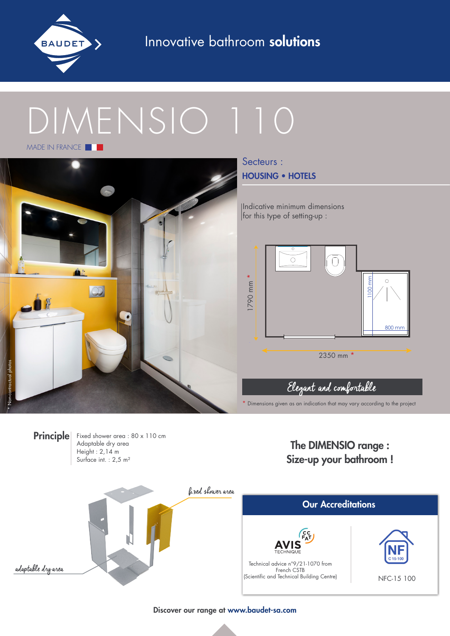

Innovative bathroom solutions

# DIMENSIO 110 MADE IN FRANCE **THE**



Secteurs : HOUSING • HOTELS

Indicative minimum dimensions for this type of setting-up :



# Elegant and comfortable

\* Dimensions given as an indication that may vary according to the project



Discover our range at www.baudet-sa.com